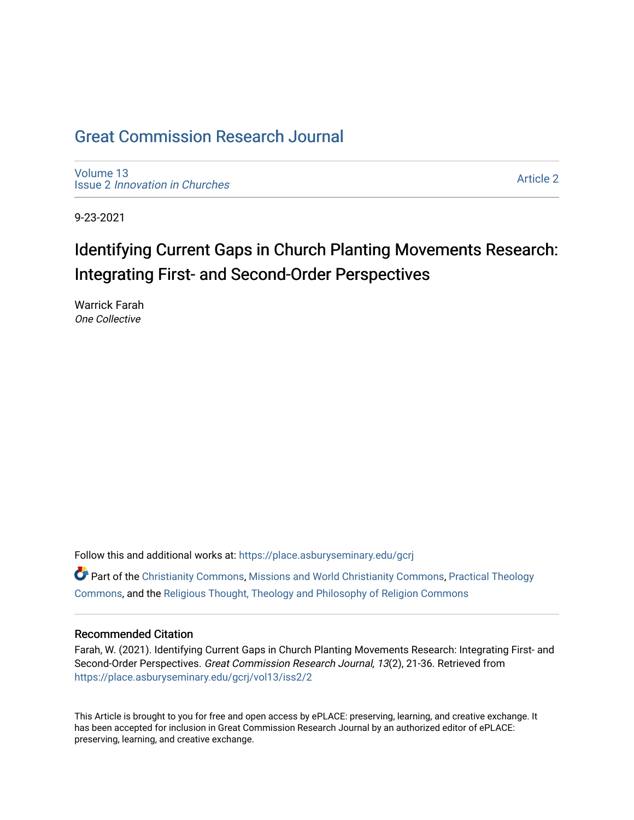## [Great Commission Research Journal](https://place.asburyseminary.edu/gcrj)

[Volume 13](https://place.asburyseminary.edu/gcrj/vol13) Issue 2 [Innovation in Churches](https://place.asburyseminary.edu/gcrj/vol13/iss2)

[Article 2](https://place.asburyseminary.edu/gcrj/vol13/iss2/2) 

9-23-2021

# Identifying Current Gaps in Church Planting Movements Research: Integrating First- and Second-Order Perspectives

Warrick Farah One Collective

Follow this and additional works at: [https://place.asburyseminary.edu/gcrj](https://place.asburyseminary.edu/gcrj?utm_source=place.asburyseminary.edu%2Fgcrj%2Fvol13%2Fiss2%2F2&utm_medium=PDF&utm_campaign=PDFCoverPages) 

 $\bullet$  Part of the [Christianity Commons,](http://network.bepress.com/hgg/discipline/1181?utm_source=place.asburyseminary.edu%2Fgcrj%2Fvol13%2Fiss2%2F2&utm_medium=PDF&utm_campaign=PDFCoverPages) [Missions and World Christianity Commons](http://network.bepress.com/hgg/discipline/1187?utm_source=place.asburyseminary.edu%2Fgcrj%2Fvol13%2Fiss2%2F2&utm_medium=PDF&utm_campaign=PDFCoverPages), Practical Theology [Commons](http://network.bepress.com/hgg/discipline/1186?utm_source=place.asburyseminary.edu%2Fgcrj%2Fvol13%2Fiss2%2F2&utm_medium=PDF&utm_campaign=PDFCoverPages), and the [Religious Thought, Theology and Philosophy of Religion Commons](http://network.bepress.com/hgg/discipline/544?utm_source=place.asburyseminary.edu%2Fgcrj%2Fvol13%2Fiss2%2F2&utm_medium=PDF&utm_campaign=PDFCoverPages) 

#### Recommended Citation

Farah, W. (2021). Identifying Current Gaps in Church Planting Movements Research: Integrating First- and Second-Order Perspectives. Great Commission Research Journal, 13(2), 21-36. Retrieved from [https://place.asburyseminary.edu/gcrj/vol13/iss2/2](https://place.asburyseminary.edu/gcrj/vol13/iss2/2?utm_source=place.asburyseminary.edu%2Fgcrj%2Fvol13%2Fiss2%2F2&utm_medium=PDF&utm_campaign=PDFCoverPages) 

This Article is brought to you for free and open access by ePLACE: preserving, learning, and creative exchange. It has been accepted for inclusion in Great Commission Research Journal by an authorized editor of ePLACE: preserving, learning, and creative exchange.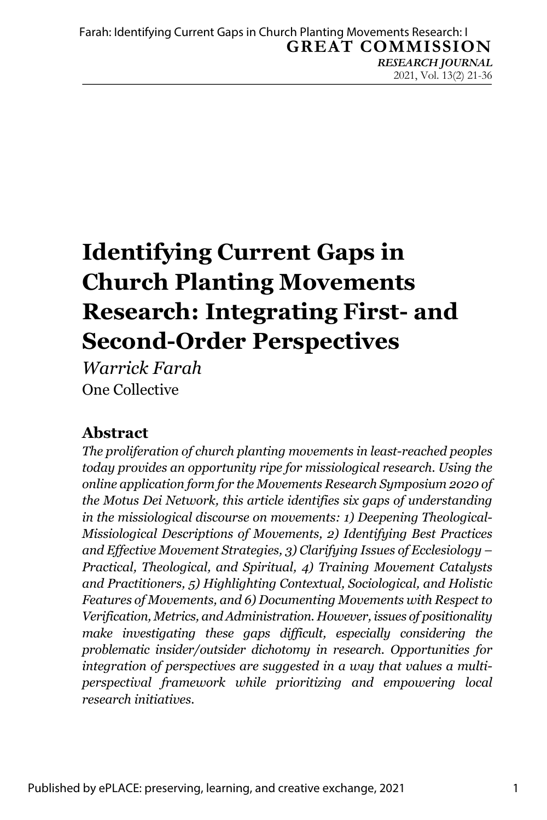# **Identifying Current Gaps in Church Planting Movements Research: Integrating First- and Second-Order Perspectives**

*Warrick Farah* One Collective

### **Abstract**

*The proliferation of church planting movements in least-reached peoples today provides an opportunity ripe for missiological research. Using the online application form for the Movements Research Symposium 2020 of the Motus Dei Network, this article identifies six gaps of understanding in the missiological discourse on movements: 1) Deepening Theological-Missiological Descriptions of Movements, 2) Identifying Best Practices and Effective Movement Strategies, 3) Clarifying Issues of Ecclesiology – Practical, Theological, and Spiritual, 4) Training Movement Catalysts and Practitioners, 5) Highlighting Contextual, Sociological, and Holistic Features of Movements, and 6) Documenting Movements with Respect to Verification, Metrics, and Administration. However, issues of positionality make investigating these gaps difficult, especially considering the problematic insider/outsider dichotomy in research. Opportunities for integration of perspectives are suggested in a way that values a multiperspectival framework while prioritizing and empowering local research initiatives.*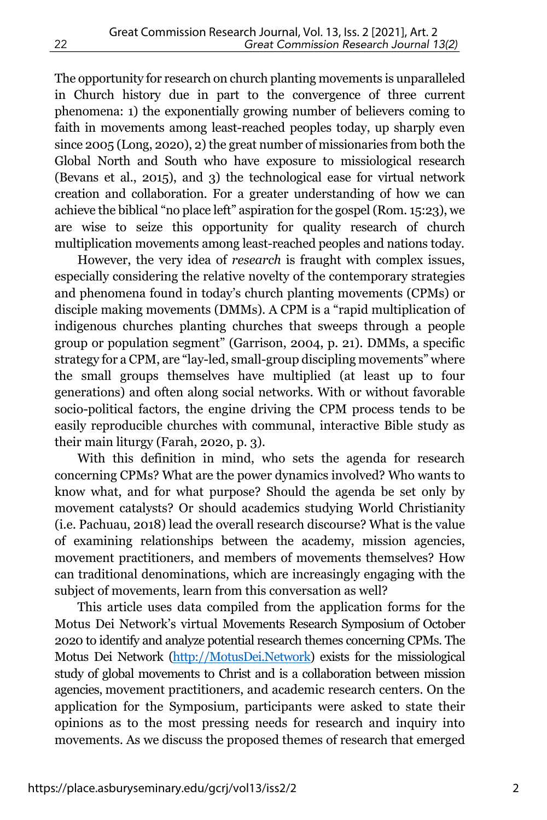The opportunity for research on church planting movements is unparalleled in Church history due in part to the convergence of three current phenomena: 1) the exponentially growing number of believers coming to faith in movements among least-reached peoples today, up sharply even since 2005 (Long, 2020), 2) the great number of missionaries from both the Global North and South who have exposure to missiological research (Bevans et al., 2015), and 3) the technological ease for virtual network creation and collaboration. For a greater understanding of how we can achieve the biblical "no place left" aspiration for the gospel (Rom. 15:23), we are wise to seize this opportunity for quality research of church multiplication movements among least-reached peoples and nations today.

However, the very idea of *research* is fraught with complex issues, especially considering the relative novelty of the contemporary strategies and phenomena found in today's church planting movements (CPMs) or disciple making movements (DMMs). A CPM is a "rapid multiplication of indigenous churches planting churches that sweeps through a people group or population segment" (Garrison, 2004, p. 21). DMMs, a specific strategy for a CPM, are "lay-led, small-group discipling movements" where the small groups themselves have multiplied (at least up to four generations) and often along social networks. With or without favorable socio-political factors, the engine driving the CPM process tends to be easily reproducible churches with communal, interactive Bible study as their main liturgy (Farah, 2020, p. 3).

With this definition in mind, who sets the agenda for research concerning CPMs? What are the power dynamics involved? Who wants to know what, and for what purpose? Should the agenda be set only by movement catalysts? Or should academics studying World Christianity (i.e. Pachuau, 2018) lead the overall research discourse? What is the value of examining relationships between the academy, mission agencies, movement practitioners, and members of movements themselves? How can traditional denominations, which are increasingly engaging with the subject of movements, learn from this conversation as well?

This article uses data compiled from the application forms for the Motus Dei Network's virtual Movements Research Symposium of October 2020 to identify and analyze potential research themes concerning CPMs. The Motus Dei Network (http://MotusDei.Network) exists for the missiological study of global movements to Christ and is a collaboration between mission agencies, movement practitioners, and academic research centers. On the application for the Symposium, participants were asked to state their opinions as to the most pressing needs for research and inquiry into movements. As we discuss the proposed themes of research that emerged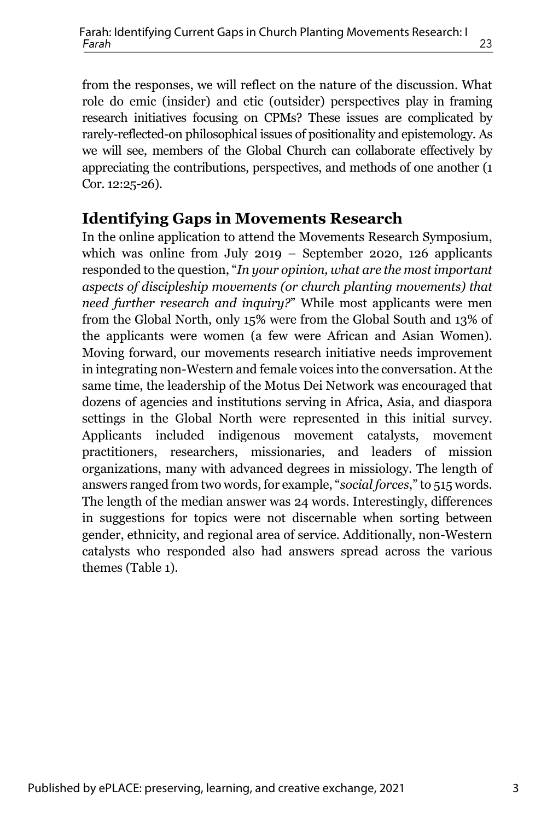appreciating the contributions, perspectives, and methods of one another (1 Cor. 12:25-26).

#### **Identifying Gaps in Movements Research**

In the online application to attend the Movements Research Symposium, which was online from July 2019 – September 2020, 126 applicants responded to the question, "*In your opinion, what are the most important aspects of discipleship movements (or church planting movements) that need further research and inquiry?*" While most applicants were men from the Global North, only 15% were from the Global South and 13% of the applicants were women (a few were African and Asian Women). Moving forward, our movements research initiative needs improvement in integrating non-Western and female voices into the conversation. At the same time, the leadership of the Motus Dei Network was encouraged that dozens of agencies and institutions serving in Africa, Asia, and diaspora settings in the Global North were represented in this initial survey. Applicants included indigenous movement catalysts, movement practitioners, researchers, missionaries, and leaders of mission organizations, many with advanced degrees in missiology. The length of answers ranged from two words, for example, "*social forces*," to 515 words. The length of the median answer was 24 words. Interestingly, differences in suggestions for topics were not discernable when sorting between gender, ethnicity, and regional area of service. Additionally, non-Western catalysts who responded also had answers spread across the various themes (Table 1).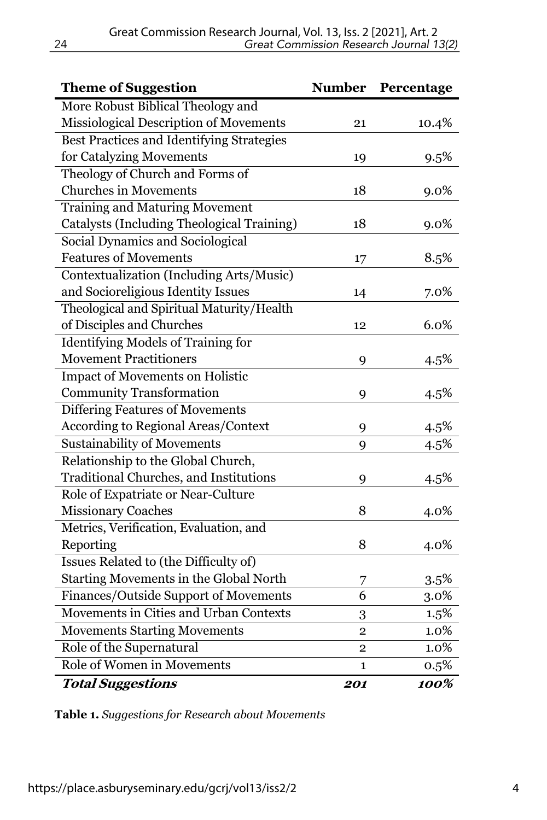| <b>Theme of Suggestion</b>                    | <b>Number</b>  | Percentage |
|-----------------------------------------------|----------------|------------|
| More Robust Biblical Theology and             |                |            |
| Missiological Description of Movements        | 21             | 10.4%      |
| Best Practices and Identifying Strategies     |                |            |
| for Catalyzing Movements                      | 19             | 9.5%       |
| Theology of Church and Forms of               |                |            |
| <b>Churches in Movements</b>                  | 18             | $9.0\%$    |
| <b>Training and Maturing Movement</b>         |                |            |
| Catalysts (Including Theological Training)    | 18             | 9.0%       |
| Social Dynamics and Sociological              |                |            |
| <b>Features of Movements</b>                  | 17             | 8.5%       |
| Contextualization (Including Arts/Music)      |                |            |
| and Socioreligious Identity Issues            | 14             | 7.0%       |
| Theological and Spiritual Maturity/Health     |                |            |
| of Disciples and Churches                     | 12             | 6.0%       |
| <b>Identifying Models of Training for</b>     |                |            |
| <b>Movement Practitioners</b>                 | 9              | 4.5%       |
| <b>Impact of Movements on Holistic</b>        |                |            |
| <b>Community Transformation</b>               | 9              | 4.5%       |
| Differing Features of Movements               |                |            |
| <b>According to Regional Areas/Context</b>    | 9              | 4.5%       |
| <b>Sustainability of Movements</b>            | 9              | 4.5%       |
| Relationship to the Global Church,            |                |            |
| <b>Traditional Churches, and Institutions</b> | 9              | 4.5%       |
| Role of Expatriate or Near-Culture            |                |            |
| <b>Missionary Coaches</b>                     | 8              | 4.0%       |
| Metrics, Verification, Evaluation, and        |                |            |
| Reporting                                     | 8              | 4.0%       |
| Issues Related to (the Difficulty of)         |                |            |
| Starting Movements in the Global North        | 7              | 3.5%       |
| Finances/Outside Support of Movements         | 6              | 3.0%       |
| Movements in Cities and Urban Contexts        | 3              | 1.5%       |
| <b>Movements Starting Movements</b>           | $\overline{2}$ | 1.0%       |
| Role of the Supernatural                      | 2              | 1.0%       |
| Role of Women in Movements                    | $\mathbf{1}$   | 0.5%       |
| <b>Total Suggestions</b>                      | 201            | 100%       |

**Table 1.** *Suggestions for Research about Movements*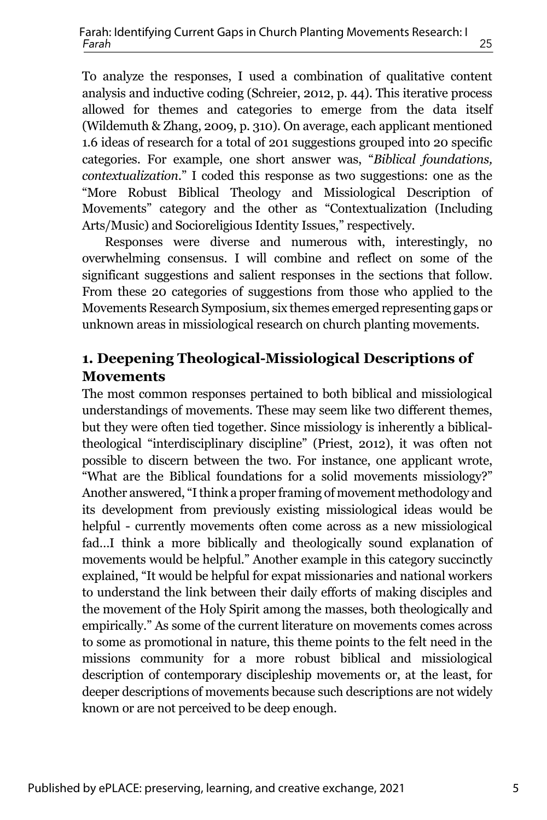To analyze the responses, I used a combination of qualitative content analysis and inductive coding (Schreier, 2012, p. 44). This iterative process allowed for themes and categories to emerge from the data itself (Wildemuth & Zhang, 2009, p. 310). On average, each applicant mentioned 1.6 ideas of research for a total of 201 suggestions grouped into 20 specific categories. For example, one short answer was, "*Biblical foundations, contextualization*." I coded this response as two suggestions: one as the "More Robust Biblical Theology and Missiological Description of Movements" category and the other as "Contextualization (Including Arts/Music) and Socioreligious Identity Issues," respectively.

Responses were diverse and numerous with, interestingly, no overwhelming consensus. I will combine and reflect on some of the significant suggestions and salient responses in the sections that follow. From these 20 categories of suggestions from those who applied to the Movements Research Symposium, six themes emerged representing gaps or unknown areas in missiological research on church planting movements.

#### **1. Deepening Theological-Missiological Descriptions of Movements**

The most common responses pertained to both biblical and missiological understandings of movements. These may seem like two different themes, but they were often tied together. Since missiology is inherently a biblicaltheological "interdisciplinary discipline" (Priest, 2012), it was often not possible to discern between the two. For instance, one applicant wrote, "What are the Biblical foundations for a solid movements missiology?" Another answered, "Ithink a proper framing of movement methodology and its development from previously existing missiological ideas would be helpful - currently movements often come across as a new missiological fad…I think a more biblically and theologically sound explanation of movements would be helpful." Another example in this category succinctly explained, "It would be helpful for expat missionaries and national workers to understand the link between their daily efforts of making disciples and the movement of the Holy Spirit among the masses, both theologically and empirically." As some of the current literature on movements comes across to some as promotional in nature, this theme points to the felt need in the missions community for a more robust biblical and missiological description of contemporary discipleship movements or, at the least, for deeper descriptions of movements because such descriptions are not widely known or are not perceived to be deep enough.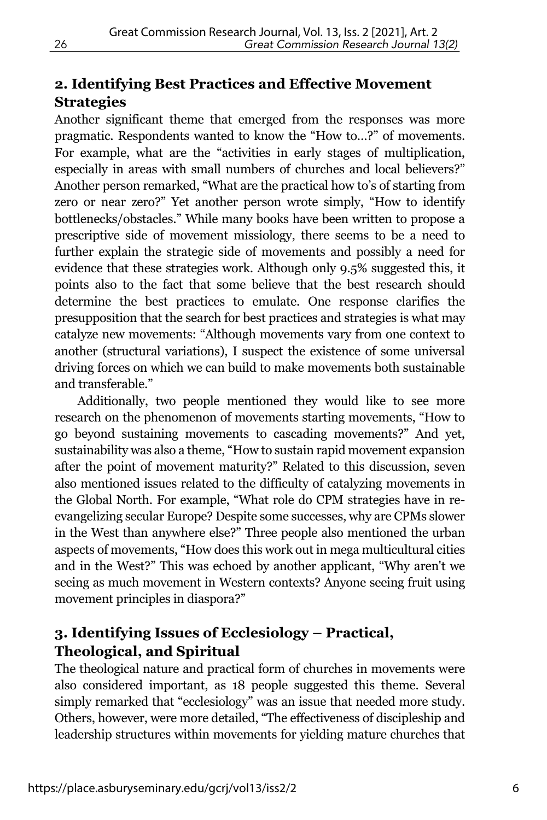### **2. Identifying Best Practices and Effective Movement Strategies**

Another significant theme that emerged from the responses was more pragmatic. Respondents wanted to know the "How to…?" of movements. For example, what are the "activities in early stages of multiplication, especially in areas with small numbers of churches and local believers?" Another person remarked, "What are the practical how to's of starting from zero or near zero?" Yet another person wrote simply, "How to identify bottlenecks/obstacles." While many books have been written to propose a prescriptive side of movement missiology, there seems to be a need to further explain the strategic side of movements and possibly a need for evidence that these strategies work. Although only 9.5% suggested this, it points also to the fact that some believe that the best research should determine the best practices to emulate. One response clarifies the presupposition that the search for best practices and strategies is what may catalyze new movements: "Although movements vary from one context to another (structural variations), I suspect the existence of some universal driving forces on which we can build to make movements both sustainable and transferable."

Additionally, two people mentioned they would like to see more research on the phenomenon of movements starting movements, "How to go beyond sustaining movements to cascading movements?" And yet, sustainability was also a theme, "How to sustain rapid movement expansion after the point of movement maturity?" Related to this discussion, seven also mentioned issues related to the difficulty of catalyzing movements in the Global North. For example, "What role do CPM strategies have in reevangelizing secular Europe? Despite some successes, why are CPMs slower in the West than anywhere else?" Three people also mentioned the urban aspects of movements, "How does this work out in mega multicultural cities and in the West?" This was echoed by another applicant, "Why aren't we seeing as much movement in Western contexts? Anyone seeing fruit using movement principles in diaspora?"

#### **3. Identifying Issues of Ecclesiology – Practical, Theological, and Spiritual**

The theological nature and practical form of churches in movements were also considered important, as 18 people suggested this theme. Several simply remarked that "ecclesiology" was an issue that needed more study. Others, however, were more detailed, "The effectiveness of discipleship and leadership structures within movements for yielding mature churches that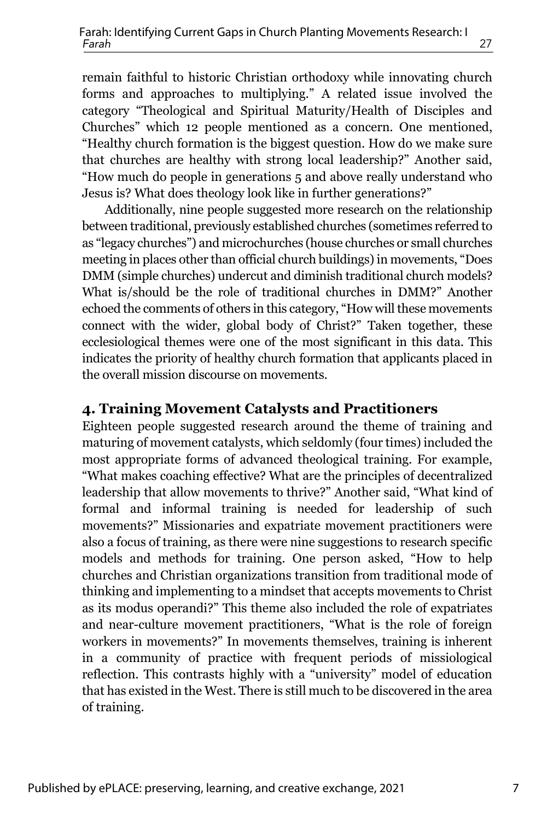remain faithful to historic Christian orthodoxy while innovating church forms and approaches to multiplying." A related issue involved the category "Theological and Spiritual Maturity/Health of Disciples and Churches" which 12 people mentioned as a concern. One mentioned, "Healthy church formation is the biggest question. How do we make sure that churches are healthy with strong local leadership?" Another said, "How much do people in generations 5 and above really understand who Jesus is? What does theology look like in further generations?"

Additionally, nine people suggested more research on the relationship between traditional, previously established churches (sometimes referred to as "legacy churches") and microchurches (house churches or small churches meeting in places other than official church buildings) in movements, "Does DMM (simple churches) undercut and diminish traditional church models? What is/should be the role of traditional churches in DMM?" Another echoed the comments of others in this category, "How will these movements connect with the wider, global body of Christ?" Taken together, these ecclesiological themes were one of the most significant in this data. This indicates the priority of healthy church formation that applicants placed in the overall mission discourse on movements.

#### **4. Training Movement Catalysts and Practitioners**

Eighteen people suggested research around the theme of training and maturing of movement catalysts, which seldomly (four times) included the most appropriate forms of advanced theological training. For example, "What makes coaching effective? What are the principles of decentralized leadership that allow movements to thrive?" Another said, "What kind of formal and informal training is needed for leadership of such movements?" Missionaries and expatriate movement practitioners were also a focus of training, as there were nine suggestions to research specific models and methods for training. One person asked, "How to help churches and Christian organizations transition from traditional mode of thinking and implementing to a mindset that accepts movements to Christ as its modus operandi?" This theme also included the role of expatriates and near-culture movement practitioners, "What is the role of foreign workers in movements?" In movements themselves, training is inherent in a community of practice with frequent periods of missiological reflection. This contrasts highly with a "university" model of education that has existed in the West. There is still much to be discovered in the area of training.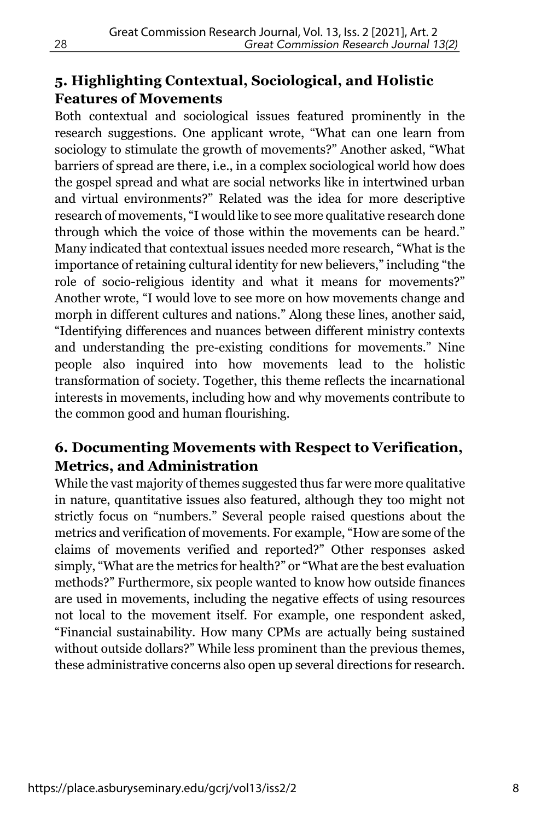#### **5. Highlighting Contextual, Sociological, and H0listic Features of Movements**

Both contextual and sociological issues featured prominently in the research suggestions. One applicant wrote, "What can one learn from sociology to stimulate the growth of movements?" Another asked, "What barriers of spread are there, i.e., in a complex sociological world how does the gospel spread and what are social networks like in intertwined urban and virtual environments?" Related was the idea for more descriptive research of movements, "I would like to see more qualitative research done through which the voice of those within the movements can be heard." Many indicated that contextual issues needed more research, "What is the importance of retaining cultural identity for new believers," including "the role of socio-religious identity and what it means for movements?" Another wrote, "I would love to see more on how movements change and morph in different cultures and nations." Along these lines, another said, "Identifying differences and nuances between different ministry contexts and understanding the pre-existing conditions for movements." Nine people also inquired into how movements lead to the holistic transformation of society. Together, this theme reflects the incarnational interests in movements, including how and why movements contribute to the common good and human flourishing.

#### **6. Documenting Movements with Respect to Verification, Metrics, and Administration**

While the vast majority of themes suggested thus far were more qualitative in nature, quantitative issues also featured, although they too might not strictly focus on "numbers." Several people raised questions about the metrics and verification of movements. For example, "How are some of the claims of movements verified and reported?" Other responses asked simply, "What are the metrics for health?" or "What are the best evaluation methods?" Furthermore, six people wanted to know how outside finances are used in movements, including the negative effects of using resources not local to the movement itself. For example, one respondent asked, "Financial sustainability. How many CPMs are actually being sustained without outside dollars?" While less prominent than the previous themes, these administrative concerns also open up several directions for research.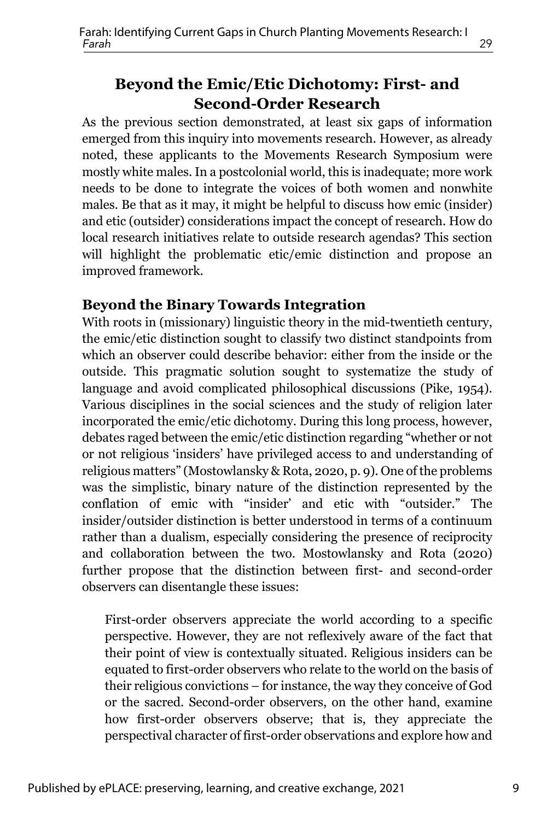#### **Beyond the Emic/Etic Dichotomy: First- and Second-Order Research**

As the previous section demonstrated, at least six gaps of information emerged from this inquiry into movements research. However, as already noted, these applicants to the Movements Research Symposium were mostly white males. In a postcolonial world, this is inadequate; more work needs to be done to integrate the voices of both women and nonwhite males. Be that as it may, it might be helpful to discuss how emic (insider) and etic (outsider) considerations impact the concept of research. How do local research initiatives relate to outside research agendas? This section will highlight the problematic etic/emic distinction and propose an improved framework.

#### **Beyond the Binary Towards Integration**

With roots in (missionary) linguistic theory in the mid-twentieth century, the emic/etic distinction sought to classify two distinct standpoints from which an observer could describe behavior: either from the inside or the outside. This pragmatic solution sought to systematize the study of language and avoid complicated philosophical discussions (Pike, 1954). Various disciplines in the social sciences and the study of religion later incorporated the emic/etic dichotomy. During this long process, however, debates raged between the emic/etic distinction regarding "whether or not or not religious 'insiders' have privileged access to and understanding of religious matters" (Mostowlansky & Rota, 2020, p. 9). One of the problems was the simplistic, binary nature of the distinction represented by the conflation of emic with "insider' and etic with "outsider." The insider/outsider distinction is better understood in terms of a continuum rather than a dualism, especially considering the presence of reciprocity and collaboration between the two. Mostowlansky and Rota (2020) further propose that the distinction between first- and second-order observers can disentangle these issues:

First-order observers appreciate the world according to a specific perspective. However, they are not reflexively aware of the fact that their point of view is contextually situated. Religious insiders can be equated to first-order observers who relate to the world on the basis of their religious convictions – for instance, the way they conceive of God or the sacred. Second-order observers, on the other hand, examine how first-order observers observe; that is, they appreciate the perspectival character of first-order observations and explore how and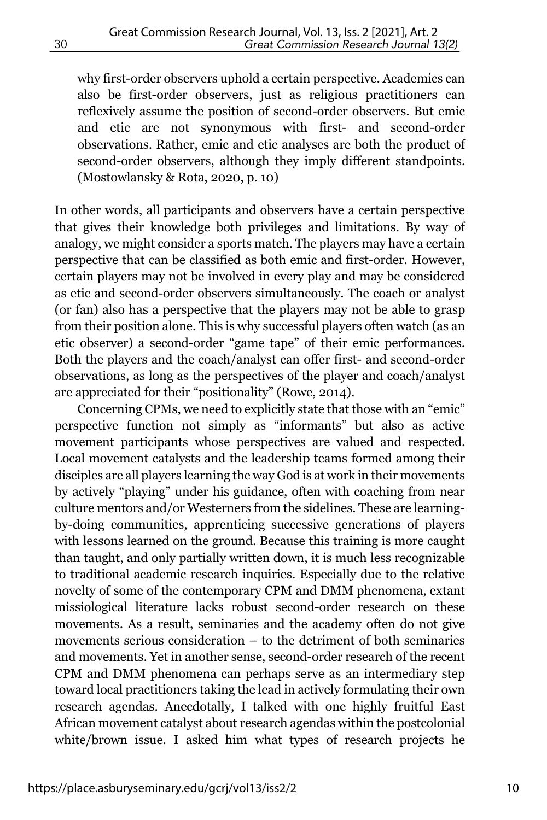why first-order observers uphold a certain perspective. Academics can also be first-order observers, just as religious practitioners can reflexively assume the position of second-order observers. But emic and etic are not synonymous with first- and second-order observations. Rather, emic and etic analyses are both the product of second-order observers, although they imply different standpoints. (Mostowlansky & Rota, 2020, p. 10)

In other words, all participants and observers have a certain perspective that gives their knowledge both privileges and limitations. By way of analogy, we might consider a sports match. The players may have a certain perspective that can be classified as both emic and first-order. However, certain players may not be involved in every play and may be considered as etic and second-order observers simultaneously. The coach or analyst (or fan) also has a perspective that the players may not be able to grasp from their position alone. This is why successful players often watch (as an etic observer) a second-order "game tape" of their emic performances. Both the players and the coach/analyst can offer first- and second-order observations, as long as the perspectives of the player and coach/analyst are appreciated for their "positionality" (Rowe, 2014).

Concerning CPMs, we need to explicitly state that those with an "emic" perspective function not simply as "informants" but also as active movement participants whose perspectives are valued and respected. Local movement catalysts and the leadership teams formed among their disciples are all players learning the way God is at work in their movements by actively "playing" under his guidance, often with coaching from near culture mentors and/or Westerners from the sidelines. These are learningby-doing communities, apprenticing successive generations of players with lessons learned on the ground. Because this training is more caught than taught, and only partially written down, it is much less recognizable to traditional academic research inquiries. Especially due to the relative novelty of some of the contemporary CPM and DMM phenomena, extant missiological literature lacks robust second-order research on these movements. As a result, seminaries and the academy often do not give movements serious consideration – to the detriment of both seminaries and movements. Yet in another sense, second-order research of the recent CPM and DMM phenomena can perhaps serve as an intermediary step toward local practitioners taking the lead in actively formulating their own research agendas. Anecdotally, I talked with one highly fruitful East African movement catalyst about research agendas within the postcolonial white/brown issue. I asked him what types of research projects he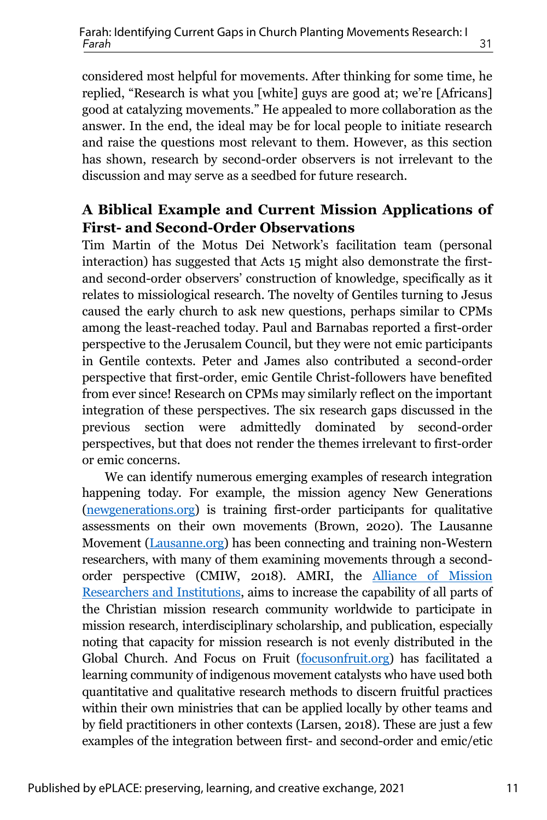considered most helpful for movements. After thinking for some time, he replied, "Research is what you [white] guys are good at; we're [Africans] good at catalyzing movements." He appealed to more collaboration as the answer. In the end, the ideal may be for local people to initiate research and raise the questions most relevant to them. However, as this section has shown, research by second-order observers is not irrelevant to the discussion and may serve as a seedbed for future research.

#### **A Biblical Example and Current Mission Applications of First- and Second-Order Observations**

Tim Martin of the Motus Dei Network's facilitation team (personal interaction) has suggested that Acts 15 might also demonstrate the firstand second-order observers' construction of knowledge, specifically as it relates to missiological research. The novelty of Gentiles turning to Jesus caused the early church to ask new questions, perhaps similar to CPMs among the least-reached today. Paul and Barnabas reported a first-order perspective to the Jerusalem Council, but they were not emic participants in Gentile contexts. Peter and James also contributed a second-order perspective that first-order, emic Gentile Christ-followers have benefited from ever since! Research on CPMs may similarly reflect on the important integration of these perspectives. The six research gaps discussed in the previous section were admittedly dominated by second-order perspectives, but that does not render the themes irrelevant to first-order or emic concerns.

We can identify numerous emerging examples of research integration happening today. For example, the mission agency New Generations (newgenerations.org) is training first-order participants for qualitative assessments on their own movements (Brown, 2020). The Lausanne Movement (Lausanne.org) has been connecting and training non-Western researchers, with many of them examining movements through a secondorder perspective (CMIW, 2018). AMRI, the Alliance of Mission Researchers and Institutions, aims to increase the capability of all parts of the Christian mission research community worldwide to participate in mission research, interdisciplinary scholarship, and publication, especially noting that capacity for mission research is not evenly distributed in the Global Church. And Focus on Fruit (focusonfruit.org) has facilitated a learning community of indigenous movement catalysts who have used both quantitative and qualitative research methods to discern fruitful practices within their own ministries that can be applied locally by other teams and by field practitioners in other contexts (Larsen, 2018). These are just a few examples of the integration between first- and second-order and emic/etic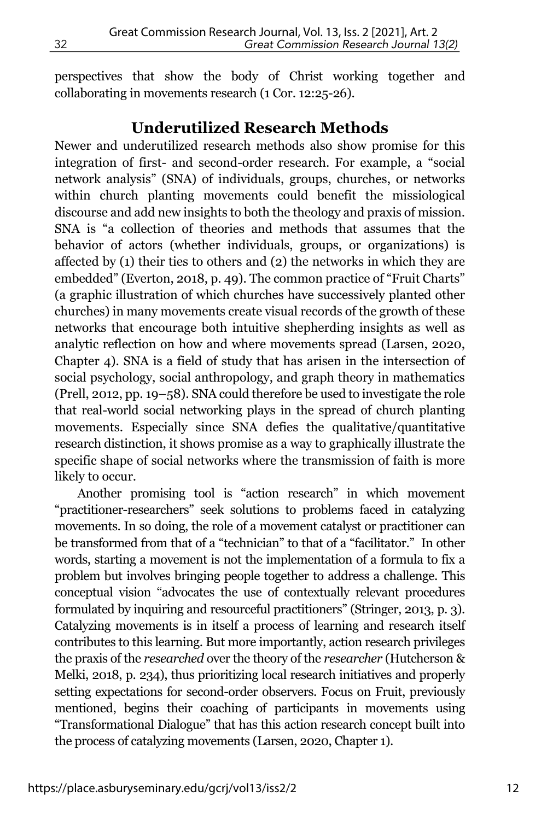perspectives that show the body of Christ working together and collaborating in movements research (1 Cor. 12:25-26).

#### **Underutilized Research Methods**

Newer and underutilized research methods also show promise for this integration of first- and second-order research. For example, a "social network analysis" (SNA) of individuals, groups, churches, or networks within church planting movements could benefit the missiological discourse and add new insights to both the theology and praxis of mission. SNA is "a collection of theories and methods that assumes that the behavior of actors (whether individuals, groups, or organizations) is affected by (1) their ties to others and (2) the networks in which they are embedded" (Everton, 2018, p. 49). The common practice of "Fruit Charts" (a graphic illustration of which churches have successively planted other churches) in many movements create visual records of the growth of these networks that encourage both intuitive shepherding insights as well as analytic reflection on how and where movements spread (Larsen, 2020, Chapter 4). SNA is a field of study that has arisen in the intersection of social psychology, social anthropology, and graph theory in mathematics (Prell, 2012, pp. 19–58). SNA could therefore be used to investigate the role that real-world social networking plays in the spread of church planting movements. Especially since SNA defies the qualitative/quantitative research distinction, it shows promise as a way to graphically illustrate the specific shape of social networks where the transmission of faith is more likely to occur.

Another promising tool is "action research" in which movement "practitioner-researchers" seek solutions to problems faced in catalyzing movements. In so doing, the role of a movement catalyst or practitioner can be transformed from that of a "technician" to that of a "facilitator." In other words, starting a movement is not the implementation of a formula to fix a problem but involves bringing people together to address a challenge. This conceptual vision "advocates the use of contextually relevant procedures formulated by inquiring and resourceful practitioners" (Stringer, 2013, p. 3). Catalyzing movements is in itself a process of learning and research itself contributes to this learning. But more importantly, action research privileges the praxis of the *researched* over the theory of the *researcher* (Hutcherson & Melki, 2018, p. 234), thus prioritizing local research initiatives and properly setting expectations for second-order observers. Focus on Fruit, previously mentioned, begins their coaching of participants in movements using "Transformational Dialogue" that has this action research concept built into the process of catalyzing movements (Larsen, 2020, Chapter 1).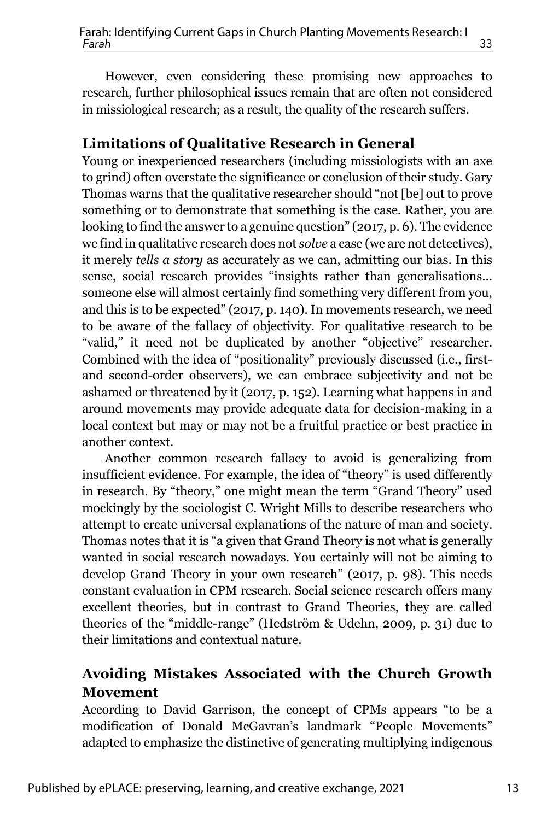However, even considering these promising new approaches to research, further philosophical issues remain that are often not considered in missiological research; as a result, the quality of the research suffers.

#### **Limitations of Qualitative Research in General**

Young or inexperienced researchers (including missiologists with an axe to grind) often overstate the significance or conclusion of their study. Gary Thomas warns that the qualitative researcher should "not [be] out to prove something or to demonstrate that something is the case. Rather, you are looking to find the answer to a genuine question" (2017, p. 6). The evidence we find in qualitative research does not *solve* a case (we are not detectives), it merely *tells a story* as accurately as we can, admitting our bias. In this sense, social research provides "insights rather than generalisations... someone else will almost certainly find something very different from you, and this is to be expected" (2017, p. 140). In movements research, we need to be aware of the fallacy of objectivity. For qualitative research to be "valid," it need not be duplicated by another "objective" researcher. Combined with the idea of "positionality" previously discussed (i.e., firstand second-order observers), we can embrace subjectivity and not be ashamed or threatened by it (2017, p. 152). Learning what happens in and around movements may provide adequate data for decision-making in a local context but may or may not be a fruitful practice or best practice in another context.

Another common research fallacy to avoid is generalizing from insufficient evidence. For example, the idea of "theory" is used differently in research. By "theory," one might mean the term "Grand Theory" used mockingly by the sociologist C. Wright Mills to describe researchers who attempt to create universal explanations of the nature of man and society. Thomas notes that it is "a given that Grand Theory is not what is generally wanted in social research nowadays. You certainly will not be aiming to develop Grand Theory in your own research" (2017, p. 98). This needs constant evaluation in CPM research. Social science research offers many excellent theories, but in contrast to Grand Theories, they are called theories of the "middle-range" (Hedström & Udehn, 2009, p. 31) due to their limitations and contextual nature.

#### **Avoiding Mistakes Associated with the Church Growth Movement**

According to David Garrison, the concept of CPMs appears "to be a modification of Donald McGavran's landmark "People Movements" adapted to emphasize the distinctive of generating multiplying indigenous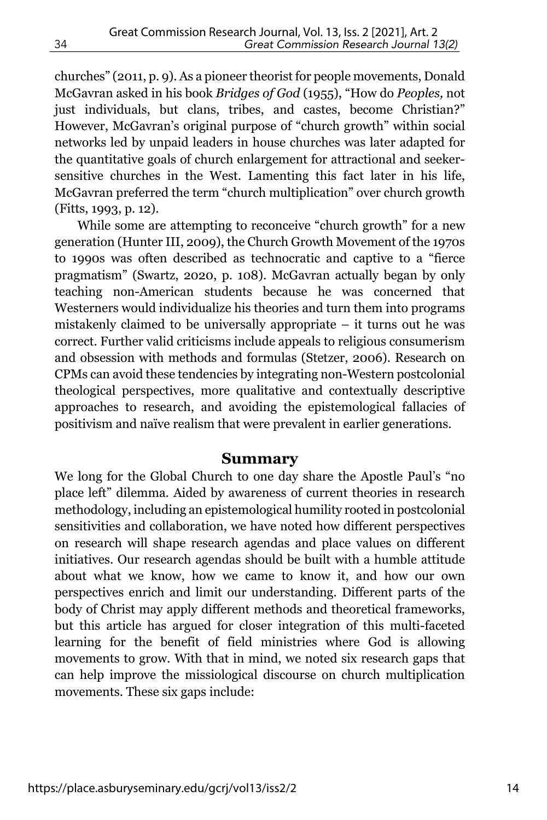churches" (2011, p. 9). As a pioneer theorist for people movements, Donald McGavran asked in his book *Bridges of God* (1955), "How do *Peoples,* not just individuals, but clans, tribes, and castes, become Christian?" However, McGavran's original purpose of "church growth" within social networks led by unpaid leaders in house churches was later adapted for the quantitative goals of church enlargement for attractional and seekersensitive churches in the West. Lamenting this fact later in his life, McGavran preferred the term "church multiplication" over church growth (Fitts, 1993, p. 12).

While some are attempting to reconceive "church growth" for a new generation (Hunter III, 2009), the Church Growth Movement of the 1970s to 1990s was often described as technocratic and captive to a "fierce pragmatism" (Swartz, 2020, p. 108). McGavran actually began by only teaching non-American students because he was concerned that Westerners would individualize his theories and turn them into programs mistakenly claimed to be universally appropriate – it turns out he was correct. Further valid criticisms include appeals to religious consumerism and obsession with methods and formulas (Stetzer, 2006). Research on CPMs can avoid these tendencies by integrating non-Western postcolonial theological perspectives, more qualitative and contextually descriptive approaches to research, and avoiding the epistemological fallacies of positivism and naïve realism that were prevalent in earlier generations.

#### **Summary**

We long for the Global Church to one day share the Apostle Paul's "no place left" dilemma. Aided by awareness of current theories in research methodology, including an epistemological humility rooted in postcolonial sensitivities and collaboration, we have noted how different perspectives on research will shape research agendas and place values on different initiatives. Our research agendas should be built with a humble attitude about what we know, how we came to know it, and how our own perspectives enrich and limit our understanding. Different parts of the body of Christ may apply different methods and theoretical frameworks, but this article has argued for closer integration of this multi-faceted learning for the benefit of field ministries where God is allowing movements to grow. With that in mind, we noted six research gaps that can help improve the missiological discourse on church multiplication movements. These six gaps include: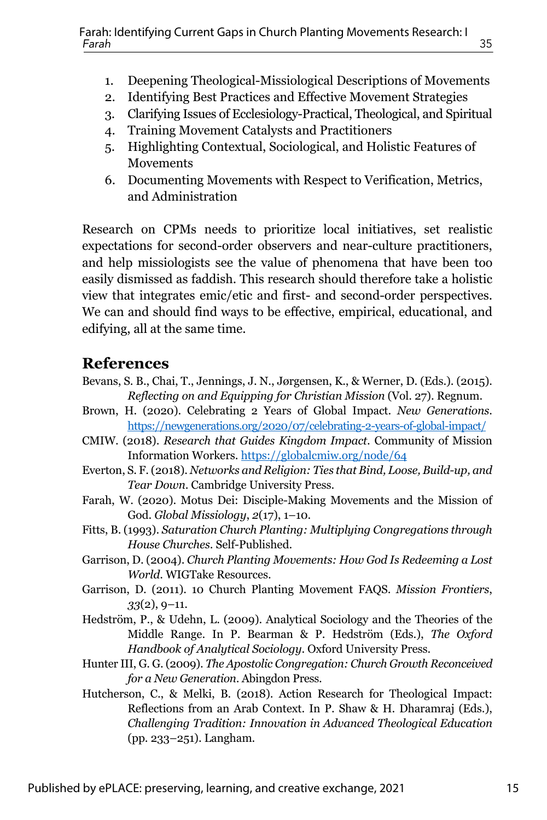- 1. Deepening Theological-Missiological Descriptions of Movements
- 2. Identifying Best Practices and Effective Movement Strategies
- 3. Clarifying Issues of Ecclesiology-Practical, Theological, and Spiritual
- 4. Training Movement Catalysts and Practitioners
- 5. Highlighting Contextual, Sociological, and Holistic Features of Movements
- 6. Documenting Movements with Respect to Verification, Metrics, and Administration

Research on CPMs needs to prioritize local initiatives, set realistic expectations for second-order observers and near-culture practitioners, and help missiologists see the value of phenomena that have been too easily dismissed as faddish. This research should therefore take a holistic view that integrates emic/etic and first- and second-order perspectives. We can and should find ways to be effective, empirical, educational, and edifying, all at the same time.

#### **References**

- Bevans, S. B., Chai, T., Jennings, J. N., Jørgensen, K., & Werner, D. (Eds.). (2015). *Reflecting on and Equipping for Christian Mission* (Vol. 27). Regnum.
- Brown, H. (2020). Celebrating 2 Years of Global Impact. *New Generations*. https://newgenerations.org/2020/07/celebrating-2-years-of-global-impact/
- CMIW. (2018). *Research that Guides Kingdom Impact*. Community of Mission Information Workers. https://globalcmiw.org/node/64
- Everton, S. F. (2018). *Networks and Religion: Ties that Bind, Loose, Build-up, and Tear Down*. Cambridge University Press.
- Farah, W. (2020). Motus Dei: Disciple-Making Movements and the Mission of God. *Global Missiology*, *2*(17), 1–10.
- Fitts, B. (1993). *Saturation Church Planting: Multiplying Congregations through House Churches*. Self-Published.
- Garrison, D. (2004). *Church Planting Movements: How God Is Redeeming a Lost World*. WIGTake Resources.
- Garrison, D. (2011). 10 Church Planting Movement FAQS. *Mission Frontiers*, *33*(2), 9–11.
- Hedström, P., & Udehn, L. (2009). Analytical Sociology and the Theories of the Middle Range. In P. Bearman & P. Hedström (Eds.), *The Oxford Handbook of Analytical Sociology*. Oxford University Press.
- Hunter III, G. G. (2009). *The Apostolic Congregation: Church Growth Reconceived for a New Generation*. Abingdon Press.
- Hutcherson, C., & Melki, B. (2018). Action Research for Theological Impact: Reflections from an Arab Context. In P. Shaw & H. Dharamraj (Eds.), *Challenging Tradition: Innovation in Advanced Theological Education* (pp. 233–251). Langham.